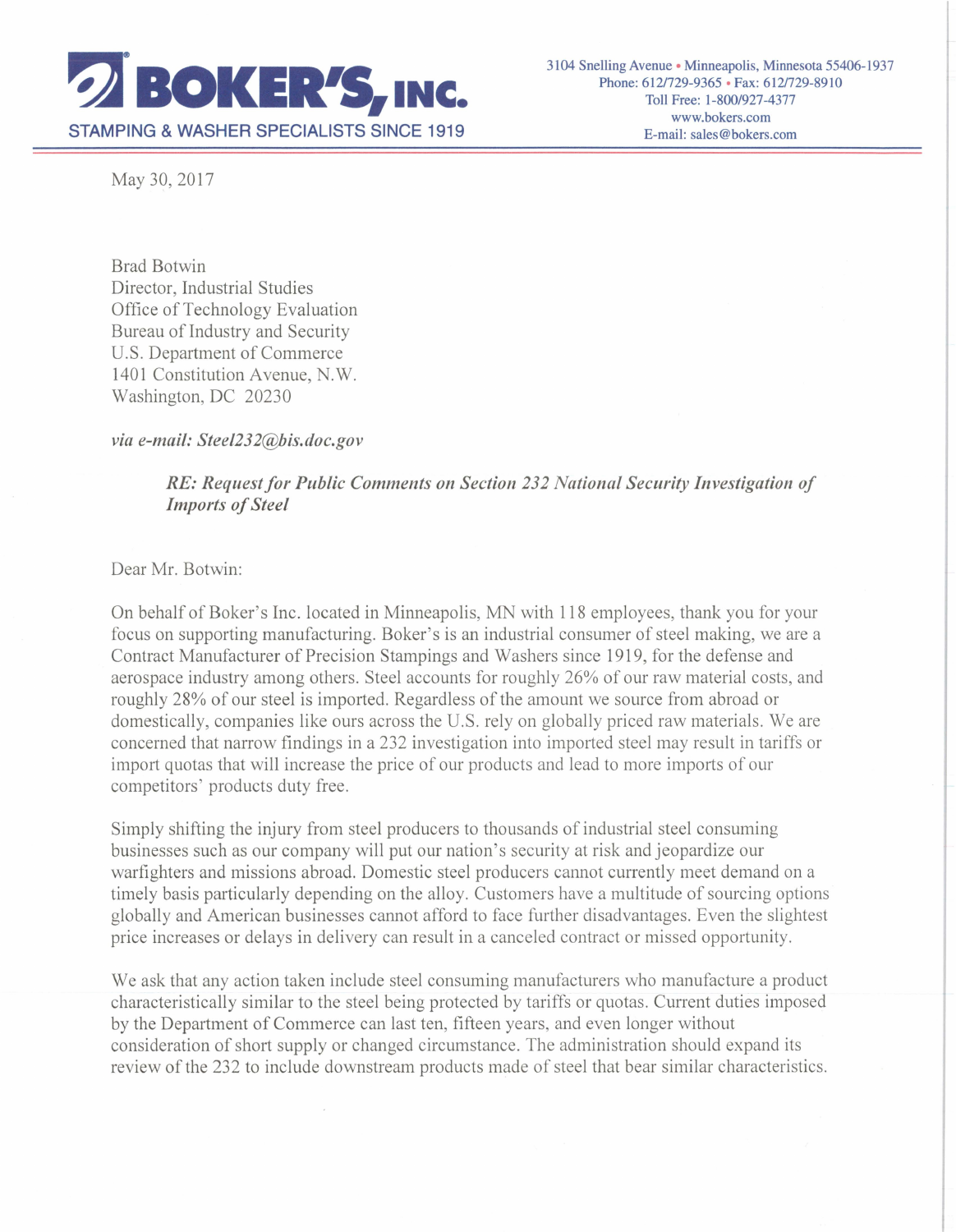

May 30, 2017

Brad Botwin Director, Industrial Studies Office of Technology Evaluation Bureau of Industry and Security U.S. Department of Commerce 1401 Constitution Avenue, N.W. Washington, DC 20230

*via e-mail: Steel232@bis.doc.gov* 

*RE: Request for Public Comments on Section 232 National Security Investigation of Imports of Steel* 

Dear Mr. Botwin:

On behalf of Boker' s Inc. located in Minneapolis, MN with 118 employees, thank you for your focus on supporting manufacturing. Boker's is an industrial consumer of steel making, we are a Contract Manufacturer of Precision Stampings and Washers since 1919, for the defense and aerospace industry among others. Steel accounts for roughly 26% of our raw material costs, and roughly 28% of our steel is imported. Regardless of the amount we source from abroad or domestically, companies like ours across the U.S. rely on globally priced raw materials. We are concerned that narrow findings in a 232 investigation into imported steel may result in tariffs or import quotas that will increase the price of our products and lead to more imports of our competitors' products duty free.

Simply shifting the injury from steel producers to thousands of industrial steel consuming businesses such as our company will put our nation's security at risk and jeopardize our warfighters and missions abroad. Domestic steel producers cannot currently meet demand on a timely basis particularly depending on the alloy. Customers have a multitude of sourcing options globally and American businesses cannot afford to face further disadvantages. Even the slightest price increases or delays in delivery can result in a canceled contract or missed opportunity.

We ask that any action taken include steel consuming manufacturers who manufacture a product characteristically similar to the steel being protected by tariffs or quotas. Current duties imposed by the Department of Commerce can last ten, fifteen years, and even longer without consideration of short supply or changed circumstance. The administration should expand its review of the 232 to include downstream products made of steel that bear similar characteristics.